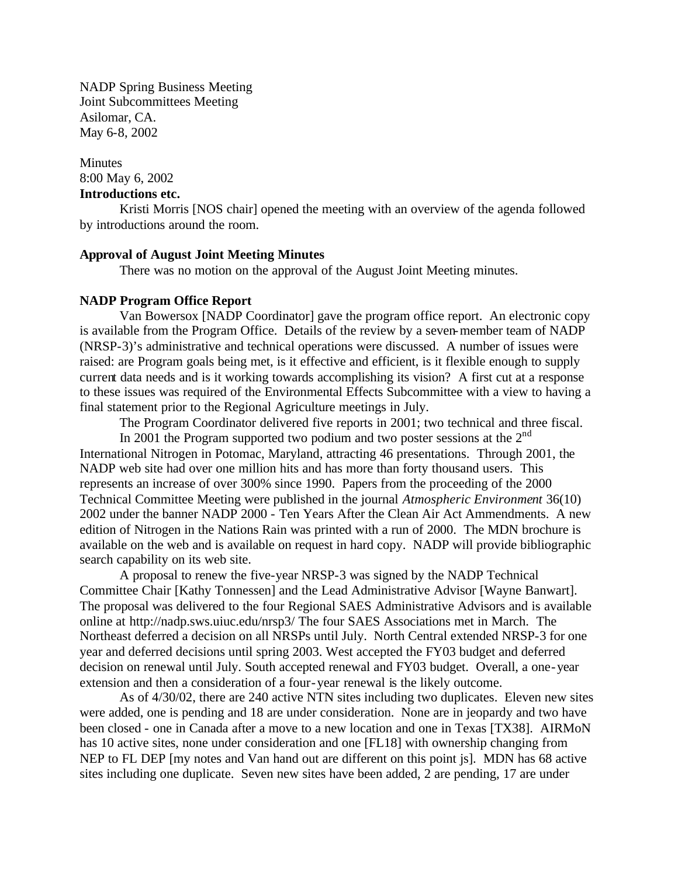NADP Spring Business Meeting Joint Subcommittees Meeting Asilomar, CA. May 6-8, 2002

Minutes 8:00 May 6, 2002 **Introductions etc.**

Kristi Morris [NOS chair] opened the meeting with an overview of the agenda followed by introductions around the room.

## **Approval of August Joint Meeting Minutes**

There was no motion on the approval of the August Joint Meeting minutes.

#### **NADP Program Office Report**

Van Bowersox [NADP Coordinator] gave the program office report. An electronic copy is available from the Program Office. Details of the review by a seven-member team of NADP (NRSP-3)'s administrative and technical operations were discussed. A number of issues were raised: are Program goals being met, is it effective and efficient, is it flexible enough to supply current data needs and is it working towards accomplishing its vision? A first cut at a response to these issues was required of the Environmental Effects Subcommittee with a view to having a final statement prior to the Regional Agriculture meetings in July.

The Program Coordinator delivered five reports in 2001; two technical and three fiscal.

In 2001 the Program supported two podium and two poster sessions at the  $2<sup>nd</sup>$ International Nitrogen in Potomac, Maryland, attracting 46 presentations. Through 2001, the NADP web site had over one million hits and has more than forty thousand users. This represents an increase of over 300% since 1990. Papers from the proceeding of the 2000 Technical Committee Meeting were published in the journal *Atmospheric Environment* 36(10) 2002 under the banner NADP 2000 - Ten Years After the Clean Air Act Ammendments. A new edition of Nitrogen in the Nations Rain was printed with a run of 2000. The MDN brochure is available on the web and is available on request in hard copy. NADP will provide bibliographic search capability on its web site.

A proposal to renew the five-year NRSP-3 was signed by the NADP Technical Committee Chair [Kathy Tonnessen] and the Lead Administrative Advisor [Wayne Banwart]. The proposal was delivered to the four Regional SAES Administrative Advisors and is available online a[t http://nadp.sws.uiuc.edu/nrsp3/ T](http://nadp.sws.uiuc.edu/nrsp3/)he four SAES Associations met in March. The Northeast deferred a decision on all NRSPs until July. North Central extended NRSP-3 for one year and deferred decisions until spring 2003. West accepted the FY03 budget and deferred decision on renewal until July. South accepted renewal and FY03 budget. Overall, a one-year extension and then a consideration of a four-year renewal is the likely outcome.

As of 4/30/02, there are 240 active NTN sites including two duplicates. Eleven new sites were added, one is pending and 18 are under consideration. None are in jeopardy and two have been closed - one in Canada after a move to a new location and one in Texas [TX38]. AIRMoN has 10 active sites, none under consideration and one [FL18] with ownership changing from NEP to FL DEP [my notes and Van hand out are different on this point js]. MDN has 68 active sites including one duplicate. Seven new sites have been added, 2 are pending, 17 are under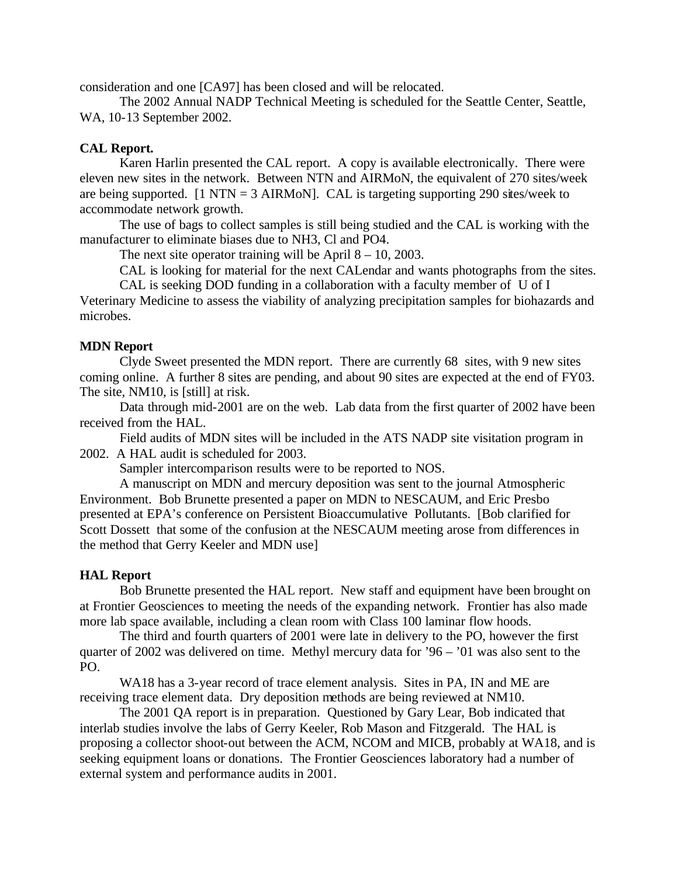consideration and one [CA97] has been closed and will be relocated.

The 2002 Annual NADP Technical Meeting is scheduled for the Seattle Center, Seattle, WA, 10-13 September 2002.

# **CAL Report.**

Karen Harlin presented the CAL report. A copy is available electronically. There were eleven new sites in the network. Between NTN and AIRMoN, the equivalent of 270 sites/week are being supported.  $[1 \text{ NTN} = 3 \text{ AIRMoN}]$ . CAL is targeting supporting 290 sites/week to accommodate network growth.

The use of bags to collect samples is still being studied and the CAL is working with the manufacturer to eliminate biases due to NH3, Cl and PO4.

The next site operator training will be April  $8 - 10$ , 2003.

CAL is looking for material for the next CALendar and wants photographs from the sites.

CAL is seeking DOD funding in a collaboration with a faculty member of U of I

Veterinary Medicine to assess the viability of analyzing precipitation samples for biohazards and microbes.

# **MDN Report**

Clyde Sweet presented the MDN report. There are currently 68 sites, with 9 new sites coming online. A further 8 sites are pending, and about 90 sites are expected at the end of FY03. The site, NM10, is [still] at risk.

Data through mid-2001 are on the web. Lab data from the first quarter of 2002 have been received from the HAL.

Field audits of MDN sites will be included in the ATS NADP site visitation program in 2002. A HAL audit is scheduled for 2003.

Sampler intercomparison results were to be reported to NOS.

A manuscript on MDN and mercury deposition was sent to the journal Atmospheric Environment. Bob Brunette presented a paper on MDN to NESCAUM, and Eric Presbo presented at EPA's conference on Persistent Bioaccumulative Pollutants. [Bob clarified for Scott Dossett that some of the confusion at the NESCAUM meeting arose from differences in the method that Gerry Keeler and MDN use]

## **HAL Report**

Bob Brunette presented the HAL report. New staff and equipment have been brought on at Frontier Geosciences to meeting the needs of the expanding network. Frontier has also made more lab space available, including a clean room with Class 100 laminar flow hoods.

The third and fourth quarters of 2001 were late in delivery to the PO, however the first quarter of 2002 was delivered on time. Methyl mercury data for '96 – '01 was also sent to the PO.

WA18 has a 3-year record of trace element analysis. Sites in PA, IN and ME are receiving trace element data. Dry deposition methods are being reviewed at NM10.

The 2001 QA report is in preparation. Questioned by Gary Lear, Bob indicated that interlab studies involve the labs of Gerry Keeler, Rob Mason and Fitzgerald. The HAL is proposing a collector shoot-out between the ACM, NCOM and MICB, probably at WA18, and is seeking equipment loans or donations. The Frontier Geosciences laboratory had a number of external system and performance audits in 2001.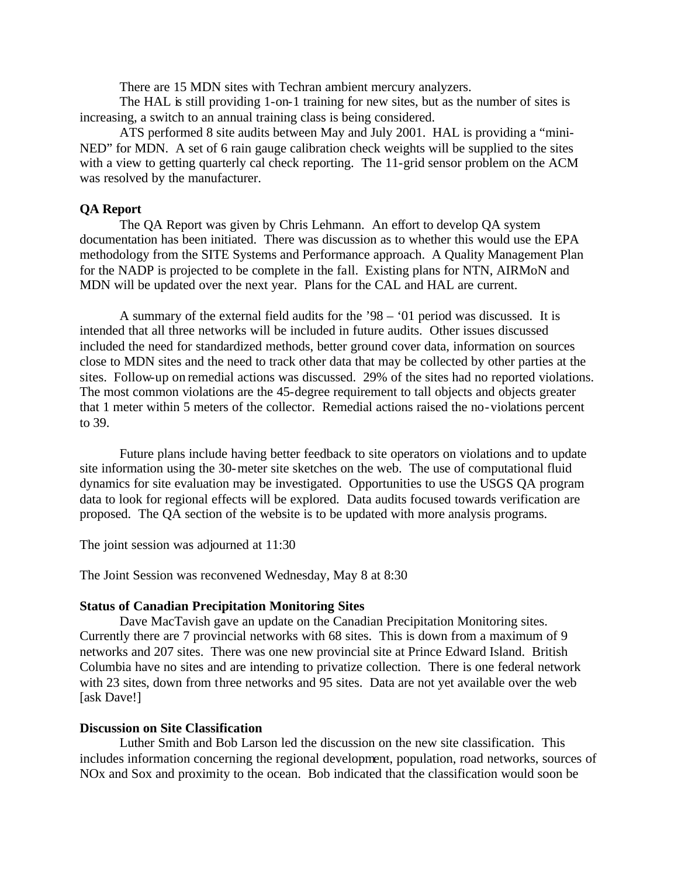There are 15 MDN sites with Techran ambient mercury analyzers.

The HAL is still providing 1-on-1 training for new sites, but as the number of sites is increasing, a switch to an annual training class is being considered.

ATS performed 8 site audits between May and July 2001. HAL is providing a "mini-NED" for MDN. A set of 6 rain gauge calibration check weights will be supplied to the sites with a view to getting quarterly cal check reporting. The 11-grid sensor problem on the ACM was resolved by the manufacturer.

# **QA Report**

The QA Report was given by Chris Lehmann. An effort to develop QA system documentation has been initiated. There was discussion as to whether this would use the EPA methodology from the SITE Systems and Performance approach. A Quality Management Plan for the NADP is projected to be complete in the fall. Existing plans for NTN, AIRMoN and MDN will be updated over the next year. Plans for the CAL and HAL are current.

A summary of the external field audits for the '98 – '01 period was discussed. It is intended that all three networks will be included in future audits. Other issues discussed included the need for standardized methods, better ground cover data, information on sources close to MDN sites and the need to track other data that may be collected by other parties at the sites. Follow-up on remedial actions was discussed. 29% of the sites had no reported violations. The most common violations are the 45-degree requirement to tall objects and objects greater that 1 meter within 5 meters of the collector. Remedial actions raised the no-violations percent to 39.

Future plans include having better feedback to site operators on violations and to update site information using the 30-meter site sketches on the web. The use of computational fluid dynamics for site evaluation may be investigated. Opportunities to use the USGS QA program data to look for regional effects will be explored. Data audits focused towards verification are proposed. The QA section of the website is to be updated with more analysis programs.

The joint session was adjourned at 11:30

The Joint Session was reconvened Wednesday, May 8 at 8:30

## **Status of Canadian Precipitation Monitoring Sites**

Dave MacTavish gave an update on the Canadian Precipitation Monitoring sites. Currently there are 7 provincial networks with 68 sites. This is down from a maximum of 9 networks and 207 sites. There was one new provincial site at Prince Edward Island. British Columbia have no sites and are intending to privatize collection. There is one federal network with 23 sites, down from three networks and 95 sites. Data are not yet available over the web [ask Dave!]

## **Discussion on Site Classification**

Luther Smith and Bob Larson led the discussion on the new site classification. This includes information concerning the regional development, population, road networks, sources of NOx and Sox and proximity to the ocean. Bob indicated that the classification would soon be